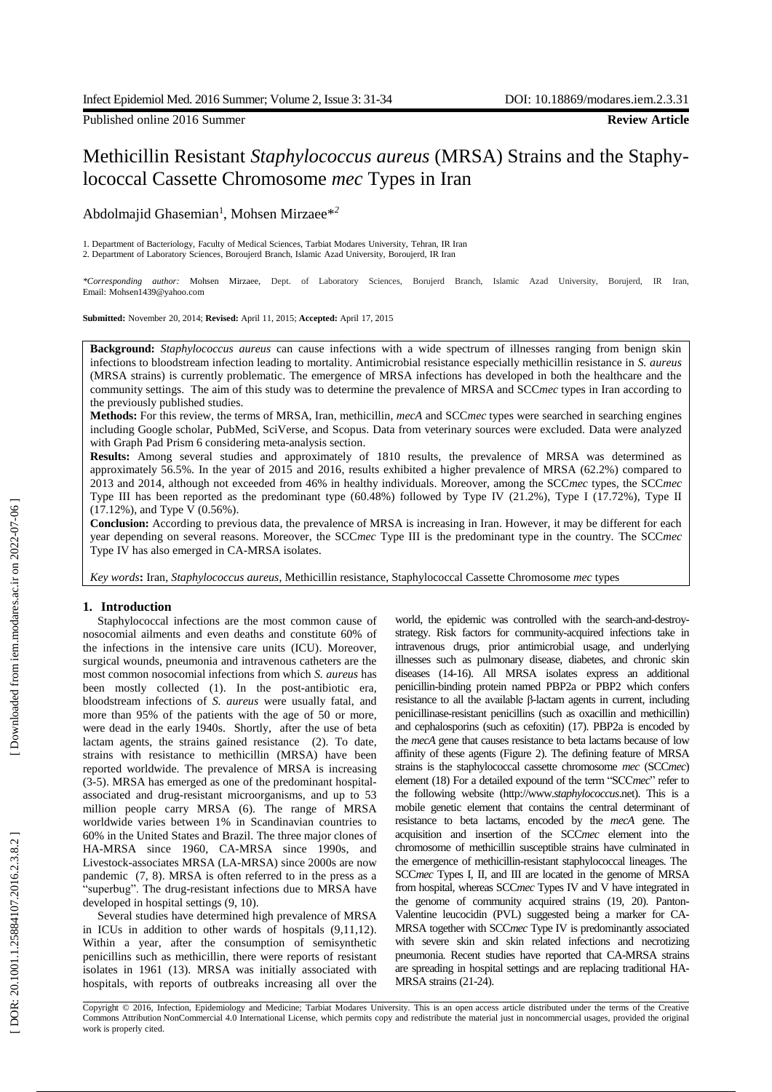Published online 2016 Summer **Review Article**

# Methicillin Resistant *Staphylococcus aureus* (MRSA) Strains and the Staphy lococcal Cassette Chromosome *mec* Types in Iran

Abdolmajid Ghasemian 1 , Mohsen Mirzaee\* *2*

1. Department of Bacteriology, Faculty of Medical Sciences, Tarbiat Modares University, Tehran, IR Iran 2. Department of Laboratory Sciences, Bor oujerd Branch, Islamic Azad University, Boroujerd, IR Iran

*\*Corresponding author:* Mohsen Mirzaee, Dept. of Laboratory Sciences, Borujerd Branch, Islamic Azad University, Borujerd, IR Iran, Email: Mohsen1439@yahoo.com

**Submitted:** November 20, 2014; **Revised:** April 11, 2015; **Accepted:** April 17, 2015

**Background :** *Staphylococcus aureus* can cause infections with a wide spectrum of illnesses ranging from benign skin infections to bloodstream infection leading to mortality. Antimicrobial resistance especially methicillin resistance in *S. aureus* (MRSA strains) is currently problematic. The emergence of MRSA infections has developed in both the healthcare and the community settings. The aim of this study was to determine the prevalence of MRSA and SCC*mec* types in Iran according to the previously published studies.

**Methods:** For this review , the terms of MRSA , Iran, methicillin, *mecA* and SCC*mec* types were searched in searching engines including Google scholar, PubMed, SciVerse , and Scopus. Data from veterinary sources were excluded. Data were analyzed with Graph Pad Prism 6 considering meta -analysis section.

**Results:** Among several studies and approximately of 1 8 10 results, the prevalence of MRSA was determined as approximately 56.5 %. In the year of 2015 and 2016 , results exhibited a higher prevalence of MRSA (62.2%) compared to 2013 and 2014, although not exceeded from 46% in healthy individuals . Moreover, among the SCC*mec* types, the SCC*mec* Type III has been reported as the predominant type (60.48%) followed by Type IV (21.2%), Type I (17.72%), Type II (17.12%) , and Type V (0.56%).

**Conclusion:**  According to previous data, the prevalence of MRSA is increasing in Iran. However, it may be different for each year depending on several reasons. Moreover, the SCC*mec*  Type III is the predominant type in the country. The SCC*mec* Type IV has also emerged in CA -MRSA isolates.

*Key words***:** Iran, *Staphylococcus aureus*, Methicillin resistance, Staphylococcal Casse tte Chromosome *me c* types

# **1. Introduction**

Staphylococcal infections are the most common cause of nosocomial ailments and even deaths and constitute 60% of the infections in the intensive care units (ICU). Moreover, surgical wounds, pneumonia and intravenous catheters are the most common nosocomial infections from which *S. aureus* has been mostly collected (1). In the post-antibiotic era, bloodstream infections of *S . aureus* were usually fatal , and more than 95% of the patients with the age of 50 or more , were dead in the early 1940s. Shortly , after the use of beta lactam agents, the strains gained resistance ( 2 ). To date, strains with resistance to methicillin (MRSA) have been reported worldwide. The prevalence of MRSA is increasing (3-5). MRSA has emerged as one of the predominant hospitalassociated and drug-resistant microorganisms, and up to 53 million people carry MRSA (6). The range of MRSA worldwide varies between 1 % in Scandinavian countries to 60% in the United States and Brazil. The three major clones of HA -MRSA since 1960, CA -MRSA since 1990s , and Livestock -associates MRSA (LA -MRSA) since 2000s are now pandemic (7, 8). MRSA is often referred to in the press as a "superbug". The drug-resistant infections due to MRSA have developed in hospital settings ( 9, 10 ).

Several studies have determined high prevalence of MRSA in ICUs in addition to other wards of hospitals  $(9,11,12)$ . Within a year , after the consumption of semisynthetic penicillins such as methicillin, there were reports of resistant isolates in 1961 (13 ). MRSA was initially associated with hospitals, with reports of outbreaks increasing all over the

world, the epidemic was controlled with the search-and-destroystrategy. Risk factors for community -acquired infections take in intravenous drugs, prior antimicrobial usage , and underlying illnesses such as pulmonary disease, diabetes , and chronic skin diseases (14 -16 ) . All MRSA isolates express an additional penicillin -binding protein named PBP2a or PBP2 which confers resistance to all the available β -lactam agents in current, including penicillinase -resistant penicillins (such as oxacillin and methicillin) and cephalosporins (such as cefoxitin) (17 ). PBP2a is encoded by the *mecA* gene that causes resistance to beta lactams because of low affinity of these agents (Figure 2 ). The defining feature of MRSA strains is the staphylococcal cassette chromosome *mec* (SCC*mec* ) element (18 ) For a detailed expound of the term "SCC*mec*" refer to the following website (http://www. *staphylococcus*.net). This is a mobile genetic element that contains the central determinant of resistance to beta lactams , encoded by the *mecA* gene. The acquisition and insertion of the SCC*mec* element into the chromosome of methicillin susceptible strains have culminated in the emergence of methicillin -resistant staphylococcal lineages . The SCC*mec* Types I, II , and III are located in the genome of MRSA from hospital, whereas SCC*mec* Types IV and V have integrated in the genome of community acquired strains (19, 20). Panton-Valentine leucocidin (PVL) suggested being a marker for CA - MRSA together with SCC*mec* Type IV is predominantly associated with severe skin and skin related infections and necrotizing pneumonia. Recent studies have reported that CA-MRSA strains are spreading in hospital settings and are replacing traditional HA-MRSA strains (21-24).

Copyright © 2016, Infection, Epidemiology and Medicine; Tarbiat Modares University. This is an open access article distributed under the terms of the Creative Commons Attribution NonCommercial 4.0 International License, which permits copy and redistribute the material just in noncommercial usages, provided the original work is properly cited .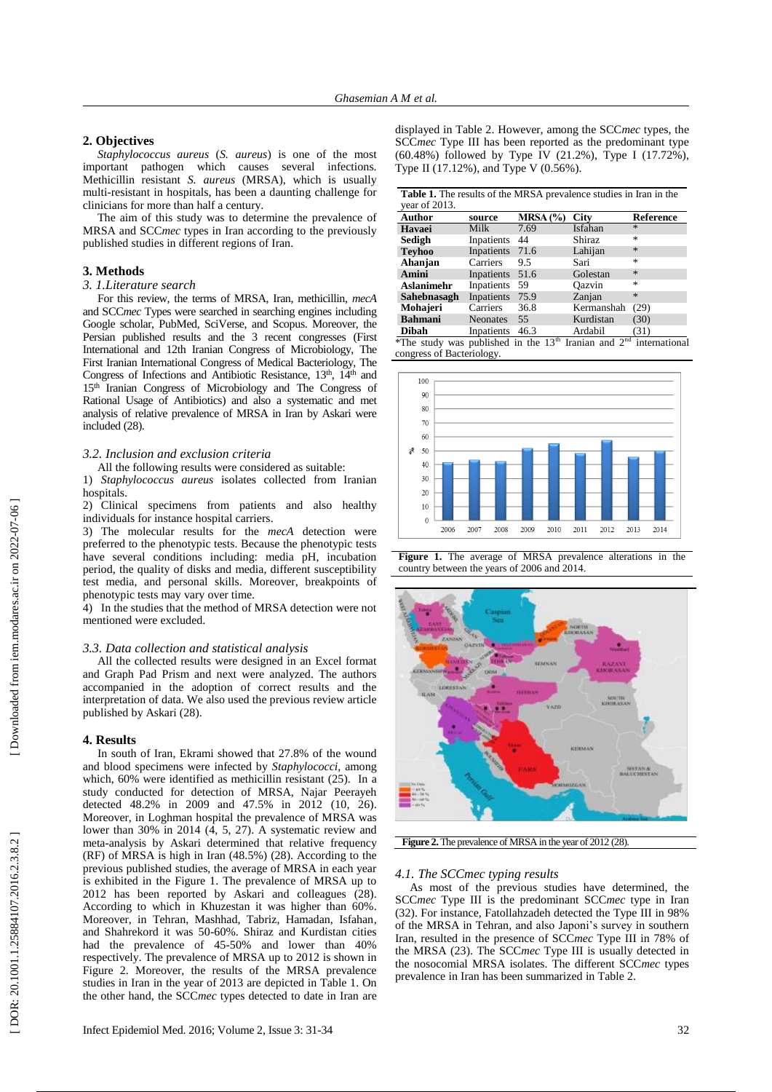# **2. Objectives**

*Staphylococcus aureus* (*S. aureus*) is one of the most important pathogen which causes several infections. Methicillin resistant *S. aureus* (MRSA), which is usually multi -resistant in hospitals, has been a daunting challenge for clinicians for more than half a century.

The aim of this study was to determine the prevalence of MRSA and SCC*mec* types in Iran according to the previously published studies in different regions of Iran.

#### **3. Methods**

## *3. 1.Literature search*

For this review , the terms of MRSA, Iran, methicillin, *mecA* and SCC*mec* Types were searched in searching engines including Google scholar, PubMed, SciVerse , and Scopus. Moreover, the Persian published results and the 3 recent congresses (First International and 12th Iranian Congress of Microbiology, The First Iranian International Congress of Medical Bacteriology, The Congress of Infections and Antibiotic Resistance, 13<sup>th</sup>, 14<sup>th</sup> and 15th Iranian Congress of Microbiology and The Congress of Rational Usage of Antibiotics ) and also a systematic and met analysis of relative prevalence of MRSA in Iran by Askari were included (28).

## *3.2. Inclusion and exclusion criteria*

All the following results were considered as suitable:

1) *Staphylococcus aureus* isolates collected from Iranian hospitals .

2) Clinical specimens from patients and also healthy individuals for instance hospital carriers .

3) The molecular results for the *mecA* detection were preferred to the phenotypic tests. Because the phenotypic tests have several conditions including: media pH, incubation period, the quality of disks and media, different susceptibility test media , and personal skills. Moreover, breakpoints of phenotypic tests may vary over time.

4) In the studies that the method of MRSA detection were not mentioned were excluded.

## *3.3. Data collection and statistical analysis*

All the collected results were designed in an Excel format and Graph Pad Prism and next were analyzed. The authors accompanied in the adoption of correct results and the interpretation of data. We also used the previous review article published by Askari (28 ) .

#### **4. Results**

In south of Iran, Ekrami showed that 27.8% of the wound and blood specimens were infected by *Staphylococci ,* among which, 60% were identified as methicillin resistant (25). In a study conducted for detection of MRSA, Najar Peerayeh detected 48.2% in 2009 and 47.5% in 2012 (10, 26). Moreover, in Loghman hospital the prevalence of MRSA was lower than 30% in 2014 (4, 5, 27). A systematic review and meta -analysis by Askari determine d that relative frequency (RF) of MRSA is high in Iran (48.5%) (28 ). According to the previous published studies, the average of MRSA in each year is exhibited in the Figure 1. The prevalence of MRSA up to 2012 has been reported by Askari and colleagues (28 ) . According to which in Khuzestan it was higher than 60% . Moreover, in Tehran, Mashhad, Tabriz, Hamadan, Isfahan , and Shahrekord it was 50 -60%. Shiraz and Kurdistan cities had the prevalence of 45 -50 % and lower than 40% respectively. The prevalence of MRSA up to 2012 is shown in Figure 2. Moreover, the results of the MRSA prevalence studies in Iran in the year of 2013 are depicted in Table 1. On the other hand, the SCC*me c* types detected to date in Iran are

displayed in Table 2. However, among the SCC*mec* types, the SCC*mec* Type III has been reported as the predominant type (60.48%) followed by Type IV (21.2%), Type I (17.72%), Type II (17.12%) , and Type V (0.56%).

| <b>Table 1.</b> The results of the MRSA prevalence studies in Iran in the |                 |          |             |                  |  |  |  |  |  |  |
|---------------------------------------------------------------------------|-----------------|----------|-------------|------------------|--|--|--|--|--|--|
| vear of $2013$ .                                                          |                 |          |             |                  |  |  |  |  |  |  |
| Author                                                                    | source          | MRSA (%) | <b>City</b> | <b>Reference</b> |  |  |  |  |  |  |
| Havaei                                                                    | Milk            | 7.69     | Isfahan     | $\star$          |  |  |  |  |  |  |
| Sedigh                                                                    | Inpatients      | 44       | Shiraz      | 永                |  |  |  |  |  |  |
| <b>Teyhoo</b>                                                             | Inpatients      | 71.6     | Lahijan     | $\frac{1}{2}$    |  |  |  |  |  |  |
| Ahanjan                                                                   | Carriers        | 9.5      | Sari        | 永                |  |  |  |  |  |  |
| Amini                                                                     | Inpatients      | 51.6     | Golestan    | $\mathcal{A}$    |  |  |  |  |  |  |
| Aslanimehr                                                                | Inpatients      | 59       | Oazvin      | 冰                |  |  |  |  |  |  |
| Sahebnasagh                                                               | Inpatients      | 75.9     | Zanjan      | $\mathcal{H}$    |  |  |  |  |  |  |
| Mohajeri                                                                  | Carriers        | 36.8     | Kermanshah  | (29)             |  |  |  |  |  |  |
| <b>Bahmani</b>                                                            | <b>Neonates</b> | 55       | Kurdistan   | (30)             |  |  |  |  |  |  |

**Dibah** Inpatients 46.3 Ardabil (31 ) \*The study was published in the  $13<sup>th</sup>$  Iranian and  $2<sup>nd</sup>$  international congress of Bacteriology .







Figure 2. The prevalence of MRSA in the year of 2012 (28).

## *4.1. The SCCmec typing results*

As most of the previous studies have determined, the SCC*mec* Type III is the predominant SCC*mec* type in Iran (32 ). For instance, Fatollahzadeh detected the Type III in 98% of the MRSA in Tehran , and also Japoni's survey in southern Iran, resulted in the presence of SCC*mec* Type III in 78% of the MRSA (23 ) . The SCC*mec* Type III is usually detected in the nosocomial MRSA isolates. The different SCC*mec* types prevalence in Iran has been summarized in Table 2.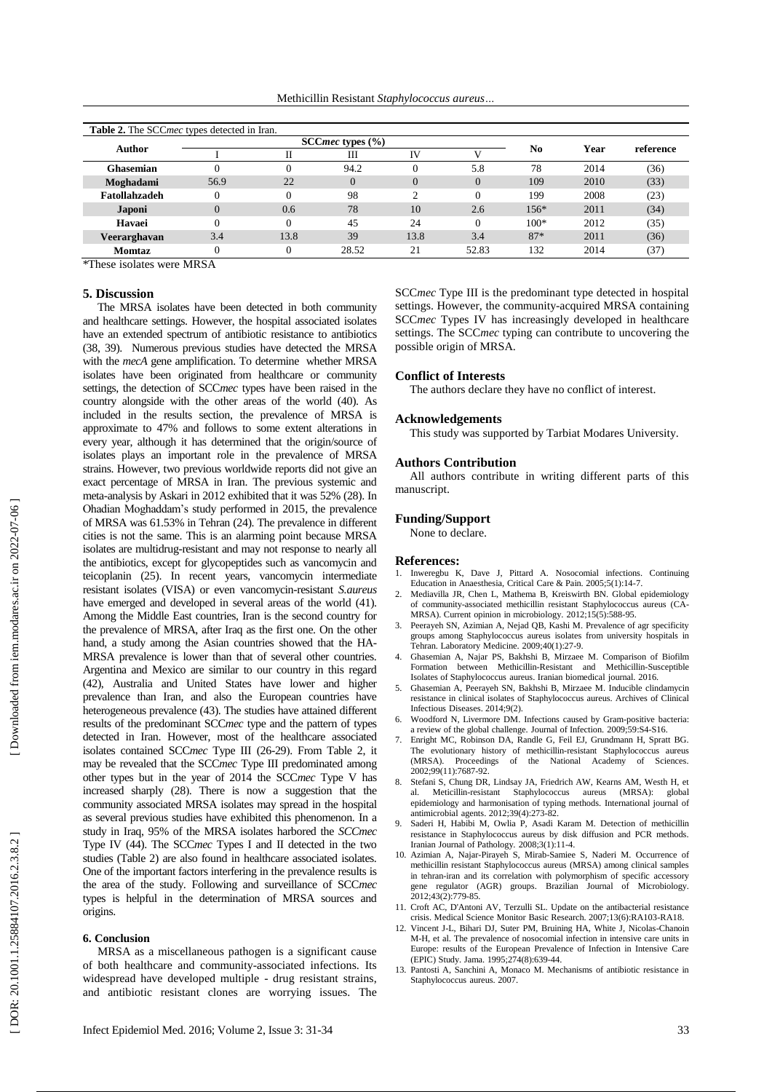Methicillin Resistant *Staphylococcus aureus …*

| <b>Table 2.</b> The SCC <i>mec</i> types detected in Iran. |                         |          |          |          |          |                |      |           |
|------------------------------------------------------------|-------------------------|----------|----------|----------|----------|----------------|------|-----------|
| Author                                                     | SCC $mec$ types $(\% )$ |          |          |          |          |                |      |           |
|                                                            |                         |          | Ш        | IV       |          | N <sub>0</sub> | Year | reference |
| <b>Ghasemian</b>                                           |                         |          | 94.2     |          | 5.8      | 78             | 2014 | (36)      |
| Moghadami                                                  | 56.9                    | 22       | $\Omega$ | $\theta$ | $\Omega$ | 109            | 2010 | (33)      |
| Fatollahzadeh                                              | $\Omega$                | 0        | 98       | ◠        | $\theta$ | 199            | 2008 | (23)      |
| Japoni                                                     | $\Omega$                | 0.6      | 78       | 10       | 2.6      | $156*$         | 2011 | (34)      |
| Havaei                                                     | $\theta$                | 0        | 45       | 24       | $\Omega$ | $100*$         | 2012 | (35)      |
| Veerarghavan                                               | 3.4                     | 13.8     | 39       | 13.8     | 3.4      | $87*$          | 2011 | (36)      |
| Momtaz                                                     |                         | $\Omega$ | 28.52    | 21       | 52.83    | 132            | 2014 | (37)      |

\* These isolates were MRSA

#### **5. Discussion**

The MRSA isolates have been detected in both community and healthcare settings. However, the hospital associated isolates have an extended spectrum of antibiotic resistance to antibiotics (38, 39). Numerous previous studies have detected the MRSA with the *mecA* gene amplification. To determine whether MRSA isolate s have been originated from healthcare or community settings, the detection of SCC*mec* types have been raised in the country alongside with the other areas of the world (40 ). As included in the results section , the prevalence of MRSA is approximate to 47% and follows to some extent alterations in every year, although it has determined that the origin/source of isolates plays an important role in the prevalence of MRSA strains. However, two previous worldwide reports did not give an exact percentage of MRSA in Iran. The previous systemic and meta -analysis by Askari in 2012 exhibited that it was 5 2 % (28 ). In Ohadian Moghaddam's study performed in 2015, the prevalence of MRSA was 61.53% in Tehran (24 ). The prevalence in different cities is not the same. This is an alarming point because MRSA isolates are multidrug-resistant and may not response to nearly all the antibiotics, except for glycopeptides such as vancomycin and teicoplanin (25 ). In recent years , vancomycin intermediate resistant isolates (VISA) or even vancomycin -resistant *S.aureus* have emerged and developed in several areas of the world (41) . Among the Middle East countries, Iran is the second country for the prevalence of MRSA, after Iraq as the first one. On the other hand, a study among the Asian countries showed that the HA-MRSA prevalence is lower than that of several other countries. Argentina and Mexico are similar to our country in this regard (42), Australia and United States have lower and higher prevalence than Iran, and also the European countries have heterogen eous prevalence (43 ). The studies have attained different results of the predominant SCC*mec* type and the pattern of types detected in Iran. However, most of the healthcare associated isolates contained SCCmec Type III (26-29). From Table 2, it may be revealed that the SCC*mec* Type III predominated among other types but in the year of 2014 the SCC*mec* Type V has increased sharply (28). There is now a suggestion that the community associated MRSA isolates may spread in the hospital as several previous studies have exhibited this phenomenon. In a study in Iraq, 95% of the MRSA isolates harbored the *SCCmec* Type IV (44). The SCC*mec* Types I and II detected in the two studies ( Table 2) are also found in healthcare associated isolates. One of the important factors interfering in the prevalence results is the area of the study. Following and surveillance of SCC*mec* types is helpful in the determination of MRSA sources and origins.

#### **6. Conclusion**

MRSA as a miscellaneous pathogen is a significant cause of both healthcare and community -associated infections. Its widespread have developed multiple - drug resistant strains , and antibiotic resistant clones are worrying issue s. The

SCC*mec* Type III is the predominant type detected in hospital settings. However, the community -acquired MRSA containing SCC*mec* Types IV has increasingly developed in healthcare settings. The SCC*mec* typing can contribute to uncovering the possible origin of MRSA.

## **Conflict of Interests**

The authors declare they have no conflict of interest.

#### **Acknowledgements**

This study was supported by Tarbiat Modares University.

#### **Authors Contribution**

All authors contribute in writing different parts of this manuscript.

# **Funding/Support**

None to declare.

## **References :**

- 1. Inweregbu K, Dave J, Pittard A. Nosocomial infections. Continuing Education in Anaesthesia, Critical Care & Pain. 2005;5(1):14 -7.
- 2. Mediavilla JR, Chen L, Mathema B, Kreiswirth BN. Global epidemiology of community -associated methicillin resistant Staphylococcus aureus (CA - MRSA). Current opinion in microbiology. 2012;15(5):588 -95.
- Peerayeh SN, Azimian A, Nejad QB, Kashi M. Prevalence of agr specificity groups among Staphylococcus aureus isolates from university hospitals in Tehran. Laboratory Medicine. 2009;40(1):27 -9.
- 4. Ghasemian A, Najar PS, Bakhshi B, Mirzaee M. Comparison of Biofilm Formation between Methicillin -Resistant and Methicillin -Susceptible Isolates of Staphylococcus aureus. Iranian biomedical journal. 2016.
- 5. Ghasemian A, Peerayeh SN, Bakhshi B, Mirzaee M. Inducible clindamycin resistance in clinical isolates of Staphylococcus aureus. Archives of Clinical Infectious Diseases. 2014;9(2).
- 6. Woodford N, Livermore DM. Infections caused by Gram -positive bacteria: a review of the global challenge. Journal of Infection. 2009;59:S4 -S16.
- 7. Enright MC, Robinson DA, Randle G, Feil EJ, Grundmann H, Spratt BG. The evolutionary history of methicillin -resistant Staphylococcus aureus (MRSA). Proceedings of the National Academy of Sciences. 2002;99(11):7687 -92.
- 8. Stefani S, Chung DR, Lindsay JA, Friedrich AW, Kearns AM, Westh H, et al. Meticillin -resistant Staphylococcus aureus (MRSA): global epidemiology and harmonisation of typing methods. International journal of antimicrobial agents. 2012;39(4):273 -82.
- 9. Saderi H, Habibi M, Owlia P, Asadi Karam M. Detection of methicillin resistance in Staphylococcus aureus by disk diffusion and PCR methods. Iranian Journal of Pathology. 2008;3(1):11 -4.
- 10. Azimian A, Najar -Pirayeh S, Mirab -Samiee S, Naderi M. Occurrence of methicillin resistant Staphylococcus aureus (MRSA) among clinical samples in tehran -iran and its correlation with polymorphism of specific accessory gene regulator (AGR) groups. Brazilian Journal of Microbiology. 2012;43(2):779 -85.
- 11. Croft AC, D'Antoni AV, Terzulli SL. Update on the antibacterial resistance crisis. Medical Science Monitor Basic Research. 2007;13(6):RA103 -RA18.
- 12. Vincent J-L, Bihari DJ, Suter PM, Bruining HA, White J, Nicolas-Chanoin M -H, et al. The prevalence of nosocomial infection in intensive care units in Europe: results of the European Prevalence of Infection in Intensive Care (EPIC) Study. Jama. 1995;274(8):639 -44.
- 13. Pantosti A, Sanchini A, Monaco M. Mechanisms of antibiotic resistance in Staphylococcus aureus. 2007.